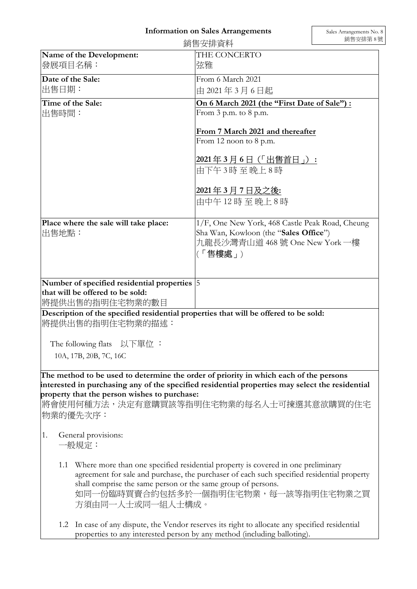## Information on Sales Arrangements

|                                                 |                                                                                                      | 銷售安排資料                                                                                                                                                                                                                              | 銷售安排第8 |
|-------------------------------------------------|------------------------------------------------------------------------------------------------------|-------------------------------------------------------------------------------------------------------------------------------------------------------------------------------------------------------------------------------------|--------|
| 發展項目名稱:                                         | Name of the Development:                                                                             | THE CONCERTO<br>弦雅                                                                                                                                                                                                                  |        |
| Date of the Sale:                               |                                                                                                      | From 6 March 2021                                                                                                                                                                                                                   |        |
| 出售日期:                                           |                                                                                                      | 由 2021年3月6日起                                                                                                                                                                                                                        |        |
| Time of the Sale:<br> 出售時間:                     |                                                                                                      | On 6 March 2021 (the "First Date of Sale"):<br>From $3$ p.m. to $8$ p.m.                                                                                                                                                            |        |
|                                                 |                                                                                                      | From 7 March 2021 and thereafter<br>From 12 noon to 8 p.m.                                                                                                                                                                          |        |
|                                                 |                                                                                                      | 2021年3月6日(「出售首日」):<br>由下午3時至晚上8時                                                                                                                                                                                                    |        |
|                                                 |                                                                                                      | <u> 2021年 3 月 7 日及之後:</u><br>由中午 12 時 至 晚上 8 時                                                                                                                                                                                      |        |
| Place where the sale will take place:<br> 出售地點: |                                                                                                      | 1/F, One New York, 468 Castle Peak Road, Cheung<br>Sha Wan, Kowloon (the "Sales Office")<br>九龍長沙灣青山道 468 號 One New York 一樓<br>(「售樓處」)                                                                                               |        |
|                                                 | Number of specified residential properties 5<br>that will be offered to be sold:<br> 將提供出售的指明住宅物業的數目 |                                                                                                                                                                                                                                     |        |
|                                                 | 將提供出售的指明住宅物業的描述:                                                                                     | Description of the specified residential properties that will be offered to be sold:                                                                                                                                                |        |
|                                                 | The following flats 以下單位:                                                                            |                                                                                                                                                                                                                                     |        |
|                                                 | 10A, 17B, 20B, 7C, 16C                                                                               |                                                                                                                                                                                                                                     |        |
|                                                 | property that the person wishes to purchase:<br>物業的優先次序:                                             | The method to be used to determine the order of priority in which each of the persons<br>interested in purchasing any of the specified residential properties may select the residential<br>將會使用何種方法,決定有意購買該等指明住宅物業的每名人士可揀選其意欲購買的住宅 |        |
| 1.                                              | General provisions:<br>一般規定:                                                                         |                                                                                                                                                                                                                                     |        |
| 1.1                                             | shall comprise the same person or the same group of persons.<br>方須由同一人士或同一組人士構成。                     | Where more than one specified residential property is covered in one preliminary<br>agreement for sale and purchase, the purchaser of each such specified residential property<br>如同一份臨時買賣合約包括多於一個指明住宅物業,每一該等指明住宅物業之買               |        |
| 1.2                                             |                                                                                                      | In case of any dispute, the Vendor reserves its right to allocate any specified residential                                                                                                                                         |        |

properties to any interested person by any method (including balloting).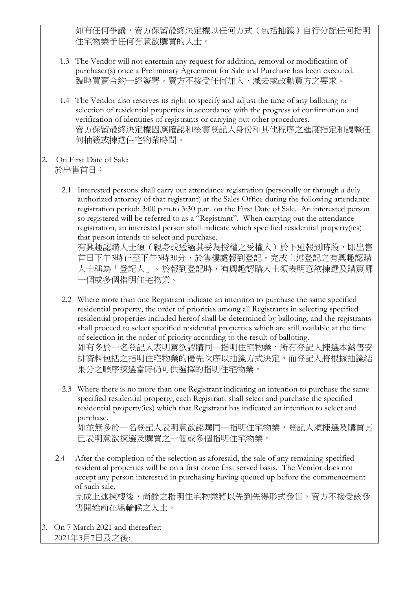如有任何爭議,賣方保留最終決定權以任何方式(包括抽籤)自行分配任何指明 住宅物業予任何有意欲購買的人士。

1.3 The Vendor will not entertain any request for addition, removal or modification of purchaser(s) once a Preliminary Agreement for Sale and Purchase has been executed. 臨時買賣合約一經簽署,賣方不接受任何加入、減去或改動買方之要求。

1.4 The Vendor also reserves its right to specify and adjust the time of any balloting or selection of residential properties in accordance with the progress of confirmation and verification of identities of registrants or carrying out other procedures. 賣方保留最終決定權因應確認和核實登記人身份和其他程序之進度指定和調整任 何抽籤或揀選住宅物業時間。

- 2. On First Date of Sale: 於出售首日:
	- 2.1 Interested persons shall carry out attendance registration (personally or through a duly authorized attorney of that registrant) at the Sales Office during the following attendance registration period: 3:00 p.m.to 3:30 p.m. on the First Date of Sale. An interested person so registered will be referred to as a "Registrant". When carrying out the attendance registration, an interested person shall indicate which specified residential property(ies) that person intends to select and purchase.

```
有興趣認購人士須(親身或透過其妥為授權之受權人)於下述報到時段,即出售
首日下午3時正至下午3時30分,於售樓處報到登記。完成上述登記之有興趣認購
人士稱為「登記人」。於報到登記時,有興趣認購人士須表明意欲揀選及購買哪
一個或多個指明住宅物業。
```
- 2.2 Where more than one Registrant indicate an intention to purchase the same specified residential property, the order of priorities among all Registrants in selecting specified residential properties included hereof shall be determined by balloting, and the registrants shall proceed to select specified residential properties which are still available at the time of selection in the order of priority according to the result of balloting. 如有多於一名登記人表明意欲認購同一指明住宅物業,所有登記人揀選本銷售安 排資料包括之指明住宅物業的優先次序以抽籤方式決定,而登記人將根據抽籤結 果分之順序揀選當時仍可供選擇的指明住宅物業。
- 2.3 Where there is no more than one Registrant indicating an intention to purchase the same specified residential property, each Registrant shall select and purchase the specified residential property(ies) which that Registrant has indicated an intention to select and purchase. 如並無多於一名登記人表明意欲認購同一指明住宅物業,登記人須揀選及購買其 已表明意欲揀選及購買之一個或多個指明住宅物業。
- 2.4 After the completion of the selection as aforesaid, the sale of any remaining specified residential properties will be on a first come first served basis. The Vendor does not accept any person interested in purchasing having queued up before the commencement of such sale.

完成上述揀樓後,尚餘之指明住宅物業將以先到先得形式發售。賣方不接受該發 售開始前在場輪候之人士。

3. On 7 March 2021 and thereafter: 2021年3月7日及之後: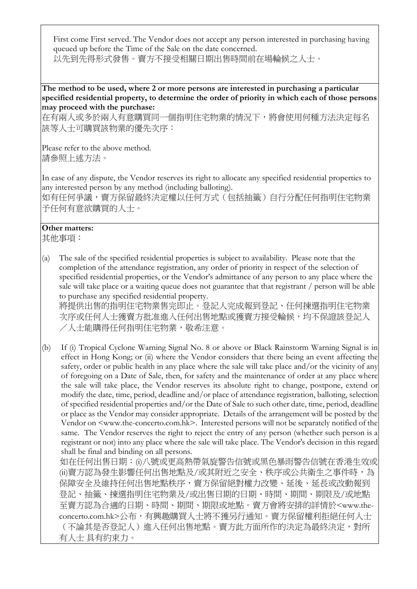First come First served. The Vendor does not accept any person interested in purchasing having queued up before the Time of the Sale on the date concerned. 以先到先得形式發售。賣方不接受相關日期出售時間前在場輪候之人士。

The method to be used, where 2 or more persons are interested in purchasing a particular specified residential property, to determine the order of priority in which each of those persons may proceed with the purchase:

在有兩人或多於兩人有意購買同一個指明住宅物業的情況下,將會使用何種方法決定每名 該等人士可購買該物業的優先次序:

Please refer to the above method. 請參照上述方法。

In case of any dispute, the Vendor reserves its right to allocate any specified residential properties to any interested person by any method (including balloting).

如有任何爭議,賣方保留最終決定權以任何方式(包括抽籤)自行分配任何指明住宅物業 予任何有意欲購買的人士。

## Other matters:

其他事項:

(a) The sale of the specified residential properties is subject to availability. Please note that the completion of the attendance registration, any order of priority in respect of the selection of specified residential properties, or the Vendor's admittance of any person to any place where the sale will take place or a waiting queue does not guarantee that that registrant / person will be able to purchase any specified residential property.

將提供出售的指明住宅物業售完即止。登記人完成報到登記、任何揀選指明住宅物業 次序或任何人士獲賣方批准進入任何出售地點或獲賣方接受輪候,均不保證該登記人 /人士能購得任何指明住宅物業,敬希注意。

(b) If (i) Tropical Cyclone Warning Signal No. 8 or above or Black Rainstorm Warning Signal is in effect in Hong Kong; or (ii) where the Vendor considers that there being an event affecting the safety, order or public health in any place where the sale will take place and/or the vicinity of any of foregoing on a Date of Sale, then, for safety and the maintenance of order at any place where the sale will take place, the Vendor reserves its absolute right to change, postpone, extend or modify the date, time, period, deadline and/or place of attendance registration, balloting, selection of specified residential properties and/or the Date of Sale to such other date, time, period, deadline or place as the Vendor may consider appropriate. Details of the arrangement will be posted by the Vendor on <www.the-concerto.com.hk>. Interested persons will not be separately notified of the same. The Vendor reserves the right to reject the entry of any person (whether such person is a registrant or not) into any place where the sale will take place. The Vendor's decision in this regard shall be final and binding on all persons.

如在任何出售日期:(i)八號或更高熱帶氣旋警告信號或黑色暴雨警告信號在香港生效或 (ii)賣方認為發生影響任何出售地點及/或其附近之安全、秩序或公共衛生之事件時,為 保障安全及維持任何出售地點秩序,賣方保留絕對權力改變、延後、延長或改動報到 登記、抽籤、揀選指明住宅物業及/或出售日期的日期、時間、期間、期限及/或地點 至賣方認為合適的日期、時間、期間、期限或地點。賣方會將安排的詳情於<www.theconcerto.com.hk>公布,有興趣購買人士將不獲另行通知。賣方保留權利拒絕任何人士 (不論其是否登記人)進入任何出售地點。賣方此方面所作的決定為最終決定,對所 有人士 具有約束力。